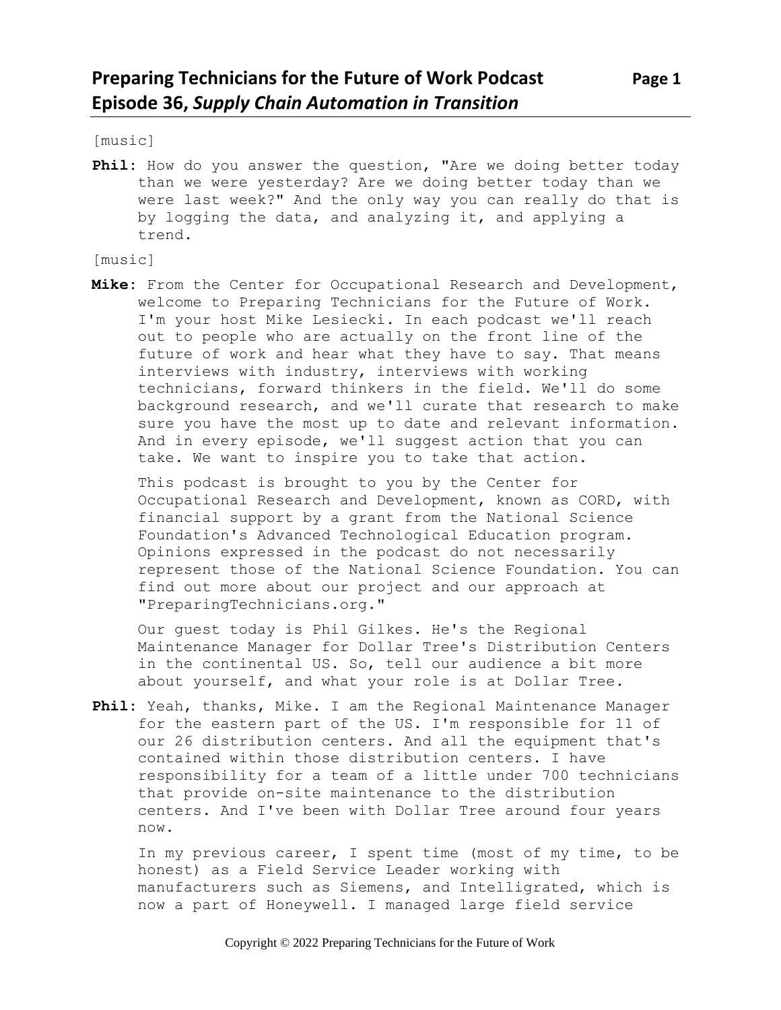[music]

**Phil:** How do you answer the question, "Are we doing better today than we were yesterday? Are we doing better today than we were last week?" And the only way you can really do that is by logging the data, and analyzing it, and applying a trend.

[music]

**Mike:** From the Center for Occupational Research and Development, welcome to Preparing Technicians for the Future of Work. I'm your host Mike Lesiecki. In each podcast we'll reach out to people who are actually on the front line of the future of work and hear what they have to say. That means interviews with industry, interviews with working technicians, forward thinkers in the field. We'll do some background research, and we'll curate that research to make sure you have the most up to date and relevant information. And in every episode, we'll suggest action that you can take. We want to inspire you to take that action.

This podcast is brought to you by the Center for Occupational Research and Development, known as CORD, with financial support by a grant from the National Science Foundation's Advanced Technological Education program. Opinions expressed in the podcast do not necessarily represent those of the National Science Foundation. You can find out more about our project and our approach at "PreparingTechnicians.org."

Our guest today is Phil Gilkes. He's the Regional Maintenance Manager for Dollar Tree's Distribution Centers in the continental US. So, tell our audience a bit more about yourself, and what your role is at Dollar Tree.

**Phil:** Yeah, thanks, Mike. I am the Regional Maintenance Manager for the eastern part of the US. I'm responsible for 11 of our 26 distribution centers. And all the equipment that's contained within those distribution centers. I have responsibility for a team of a little under 700 technicians that provide on-site maintenance to the distribution centers. And I've been with Dollar Tree around four years now.

In my previous career, I spent time (most of my time, to be honest) as a Field Service Leader working with manufacturers such as Siemens, and Intelligrated, which is now a part of Honeywell. I managed large field service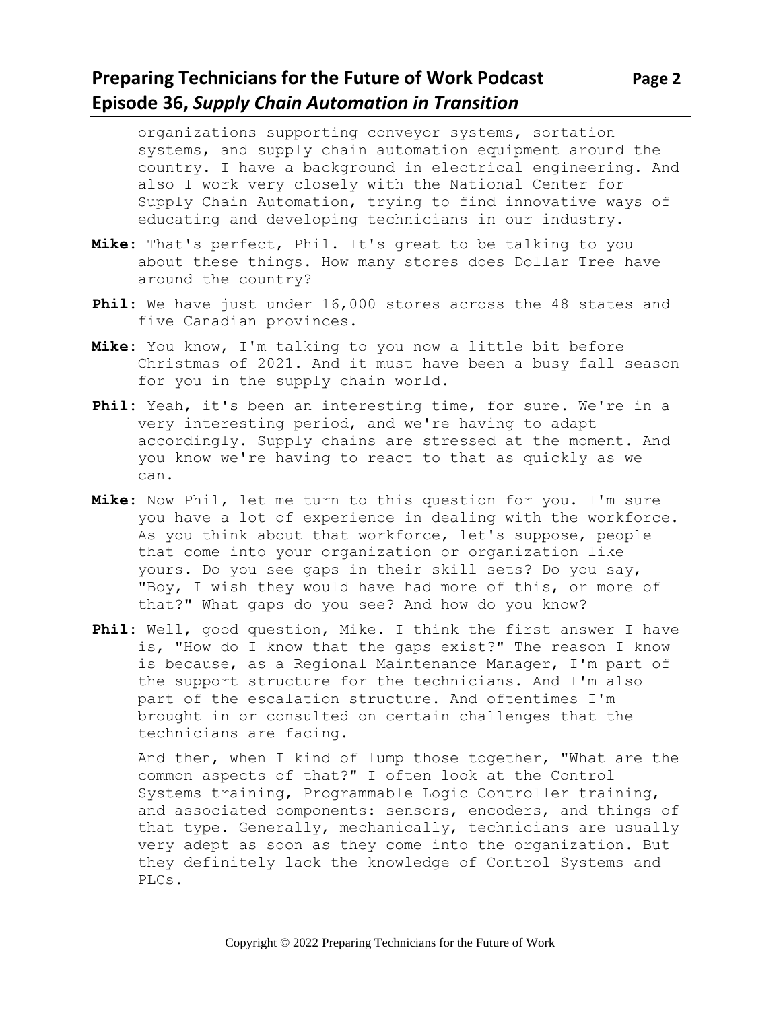#### **Preparing Technicians for the Future of Work Podcast Page 2 Episode 36,** *Supply Chain Automation in Transition*

organizations supporting conveyor systems, sortation systems, and supply chain automation equipment around the country. I have a background in electrical engineering. And also I work very closely with the National Center for Supply Chain Automation, trying to find innovative ways of educating and developing technicians in our industry.

- **Mike:** That's perfect, Phil. It's great to be talking to you about these things. How many stores does Dollar Tree have around the country?
- **Phil:** We have just under 16,000 stores across the 48 states and five Canadian provinces.
- **Mike:** You know, I'm talking to you now a little bit before Christmas of 2021. And it must have been a busy fall season for you in the supply chain world.
- **Phil:** Yeah, it's been an interesting time, for sure. We're in a very interesting period, and we're having to adapt accordingly. Supply chains are stressed at the moment. And you know we're having to react to that as quickly as we can.
- **Mike:** Now Phil, let me turn to this question for you. I'm sure you have a lot of experience in dealing with the workforce. As you think about that workforce, let's suppose, people that come into your organization or organization like yours. Do you see gaps in their skill sets? Do you say, "Boy, I wish they would have had more of this, or more of that?" What gaps do you see? And how do you know?
- **Phil:** Well, good question, Mike. I think the first answer I have is, "How do I know that the gaps exist?" The reason I know is because, as a Regional Maintenance Manager, I'm part of the support structure for the technicians. And I'm also part of the escalation structure. And oftentimes I'm brought in or consulted on certain challenges that the technicians are facing.

And then, when I kind of lump those together, "What are the common aspects of that?" I often look at the Control Systems training, Programmable Logic Controller training, and associated components: sensors, encoders, and things of that type. Generally, mechanically, technicians are usually very adept as soon as they come into the organization. But they definitely lack the knowledge of Control Systems and PLCs.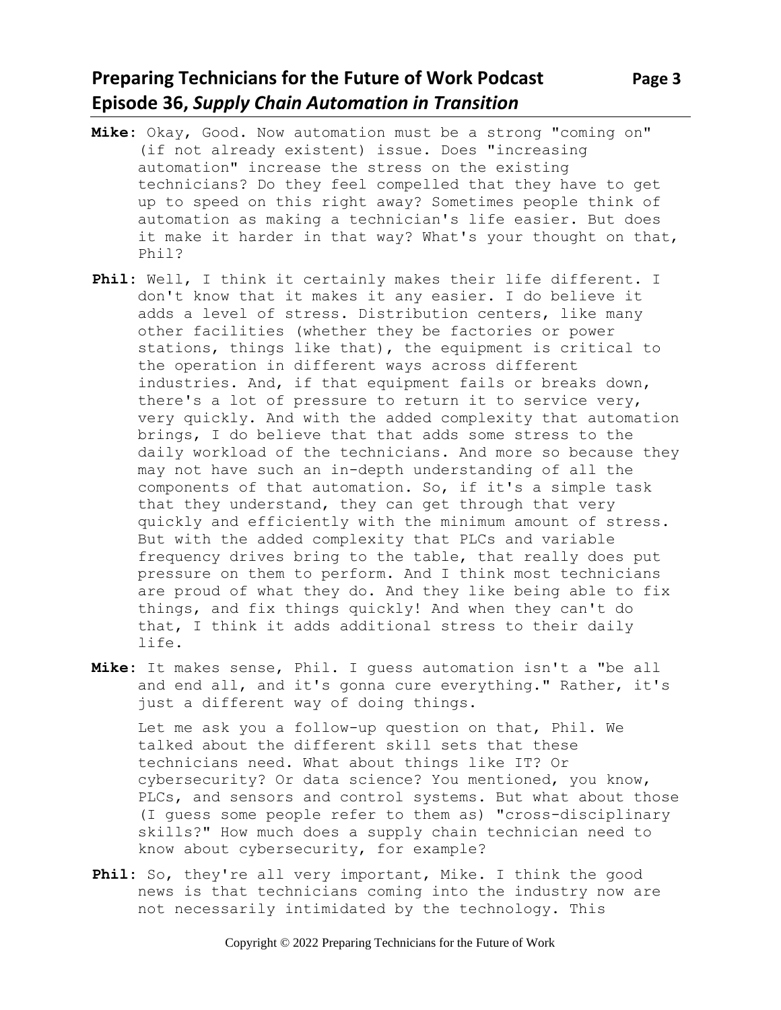## **Preparing Technicians for the Future of Work Podcast** Page 3 **Episode 36,** *Supply Chain Automation in Transition*

- **Mike:** Okay, Good. Now automation must be a strong "coming on" (if not already existent) issue. Does "increasing automation" increase the stress on the existing technicians? Do they feel compelled that they have to get up to speed on this right away? Sometimes people think of automation as making a technician's life easier. But does it make it harder in that way? What's your thought on that, Phil?
- **Phil:** Well, I think it certainly makes their life different. I don't know that it makes it any easier. I do believe it adds a level of stress. Distribution centers, like many other facilities (whether they be factories or power stations, things like that), the equipment is critical to the operation in different ways across different industries. And, if that equipment fails or breaks down, there's a lot of pressure to return it to service very, very quickly. And with the added complexity that automation brings, I do believe that that adds some stress to the daily workload of the technicians. And more so because they may not have such an in-depth understanding of all the components of that automation. So, if it's a simple task that they understand, they can get through that very quickly and efficiently with the minimum amount of stress. But with the added complexity that PLCs and variable frequency drives bring to the table, that really does put pressure on them to perform. And I think most technicians are proud of what they do. And they like being able to fix things, and fix things quickly! And when they can't do that, I think it adds additional stress to their daily life.
- **Mike:** It makes sense, Phil. I guess automation isn't a "be all and end all, and it's gonna cure everything." Rather, it's just a different way of doing things.

Let me ask you a follow-up question on that, Phil. We talked about the different skill sets that these technicians need. What about things like IT? Or cybersecurity? Or data science? You mentioned, you know, PLCs, and sensors and control systems. But what about those (I guess some people refer to them as) "cross-disciplinary skills?" How much does a supply chain technician need to know about cybersecurity, for example?

Phil: So, they're all very important, Mike. I think the good news is that technicians coming into the industry now are not necessarily intimidated by the technology. This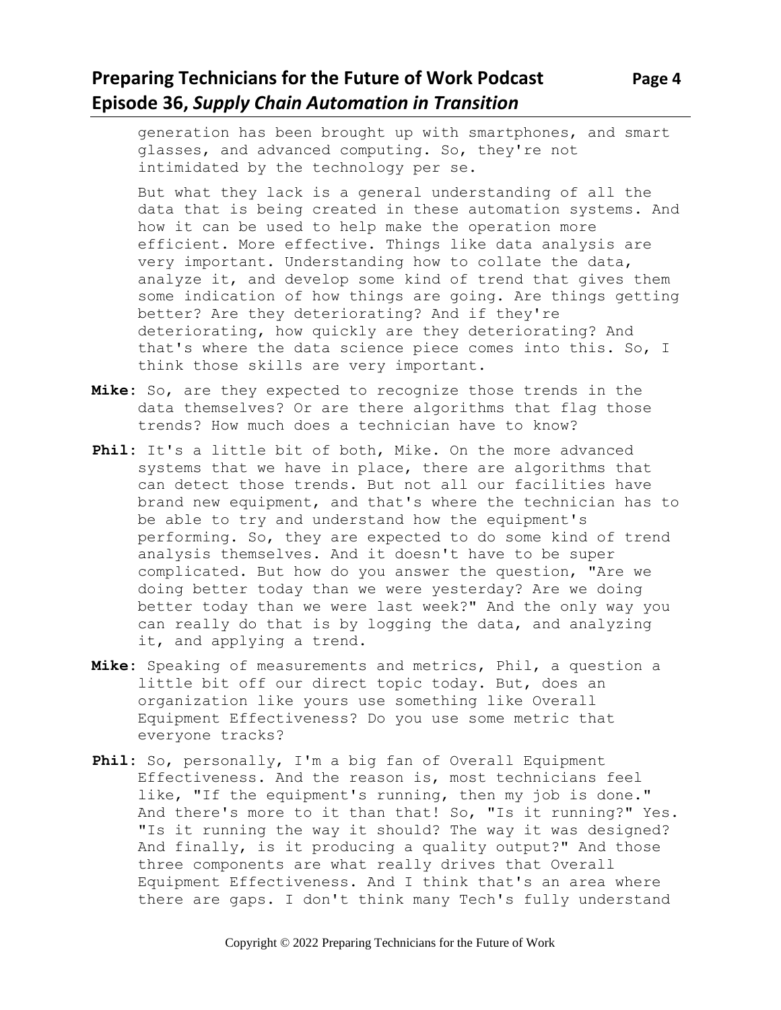# **Preparing Technicians for the Future of Work Podcast Page 4 Episode 36,** *Supply Chain Automation in Transition*

generation has been brought up with smartphones, and smart glasses, and advanced computing. So, they're not intimidated by the technology per se.

But what they lack is a general understanding of all the data that is being created in these automation systems. And how it can be used to help make the operation more efficient. More effective. Things like data analysis are very important. Understanding how to collate the data, analyze it, and develop some kind of trend that gives them some indication of how things are going. Are things getting better? Are they deteriorating? And if they're deteriorating, how quickly are they deteriorating? And that's where the data science piece comes into this. So, I think those skills are very important.

- **Mike:** So, are they expected to recognize those trends in the data themselves? Or are there algorithms that flag those trends? How much does a technician have to know?
- Phil: It's a little bit of both, Mike. On the more advanced systems that we have in place, there are algorithms that can detect those trends. But not all our facilities have brand new equipment, and that's where the technician has to be able to try and understand how the equipment's performing. So, they are expected to do some kind of trend analysis themselves. And it doesn't have to be super complicated. But how do you answer the question, "Are we doing better today than we were yesterday? Are we doing better today than we were last week?" And the only way you can really do that is by logging the data, and analyzing it, and applying a trend.
- **Mike:** Speaking of measurements and metrics, Phil, a question a little bit off our direct topic today. But, does an organization like yours use something like Overall Equipment Effectiveness? Do you use some metric that everyone tracks?
- **Phil:** So, personally, I'm a big fan of Overall Equipment Effectiveness. And the reason is, most technicians feel like, "If the equipment's running, then my job is done." And there's more to it than that! So, "Is it running?" Yes. "Is it running the way it should? The way it was designed? And finally, is it producing a quality output?" And those three components are what really drives that Overall Equipment Effectiveness. And I think that's an area where there are gaps. I don't think many Tech's fully understand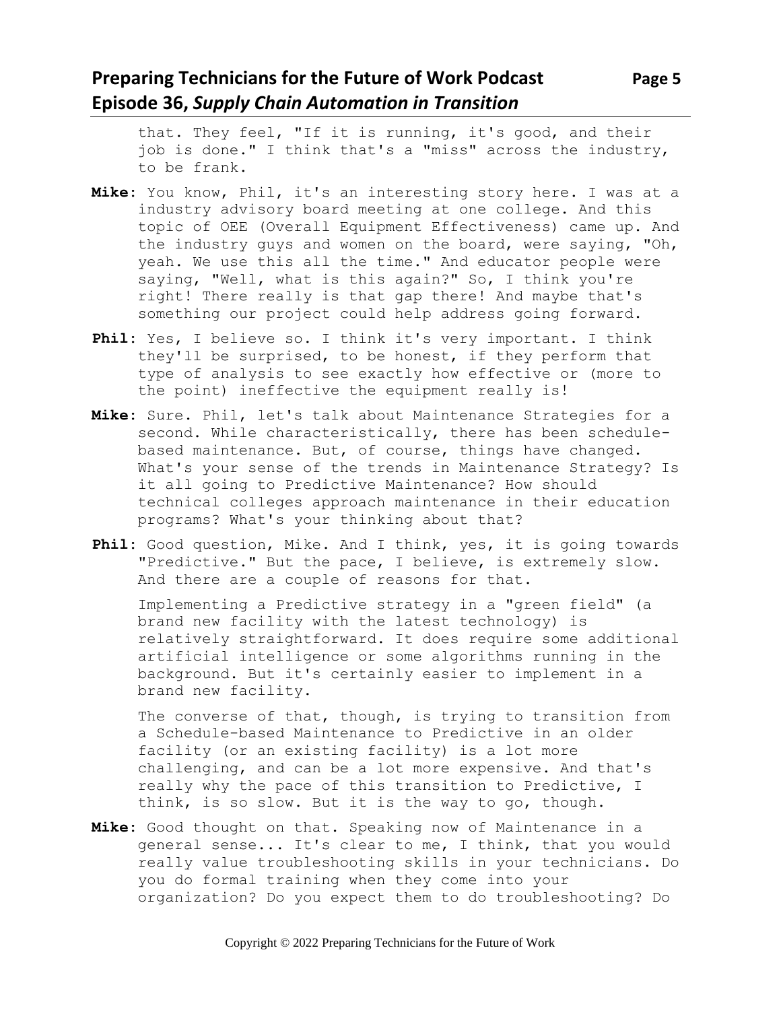# **Preparing Technicians for the Future of Work Podcast** Page 5 **Episode 36,** *Supply Chain Automation in Transition*

that. They feel, "If it is running, it's good, and their job is done." I think that's a "miss" across the industry, to be frank.

- **Mike:** You know, Phil, it's an interesting story here. I was at a industry advisory board meeting at one college. And this topic of OEE (Overall Equipment Effectiveness) came up. And the industry guys and women on the board, were saying, "Oh, yeah. We use this all the time." And educator people were saying, "Well, what is this again?" So, I think you're right! There really is that gap there! And maybe that's something our project could help address going forward.
- **Phil:** Yes, I believe so. I think it's very important. I think they'll be surprised, to be honest, if they perform that type of analysis to see exactly how effective or (more to the point) ineffective the equipment really is!
- **Mike:** Sure. Phil, let's talk about Maintenance Strategies for a second. While characteristically, there has been schedulebased maintenance. But, of course, things have changed. What's your sense of the trends in Maintenance Strategy? Is it all going to Predictive Maintenance? How should technical colleges approach maintenance in their education programs? What's your thinking about that?
- **Phil:** Good question, Mike. And I think, yes, it is going towards "Predictive." But the pace, I believe, is extremely slow. And there are a couple of reasons for that.

Implementing a Predictive strategy in a "green field" (a brand new facility with the latest technology) is relatively straightforward. It does require some additional artificial intelligence or some algorithms running in the background. But it's certainly easier to implement in a brand new facility.

The converse of that, though, is trying to transition from a Schedule-based Maintenance to Predictive in an older facility (or an existing facility) is a lot more challenging, and can be a lot more expensive. And that's really why the pace of this transition to Predictive, I think, is so slow. But it is the way to go, though.

**Mike:** Good thought on that. Speaking now of Maintenance in a general sense... It's clear to me, I think, that you would really value troubleshooting skills in your technicians. Do you do formal training when they come into your organization? Do you expect them to do troubleshooting? Do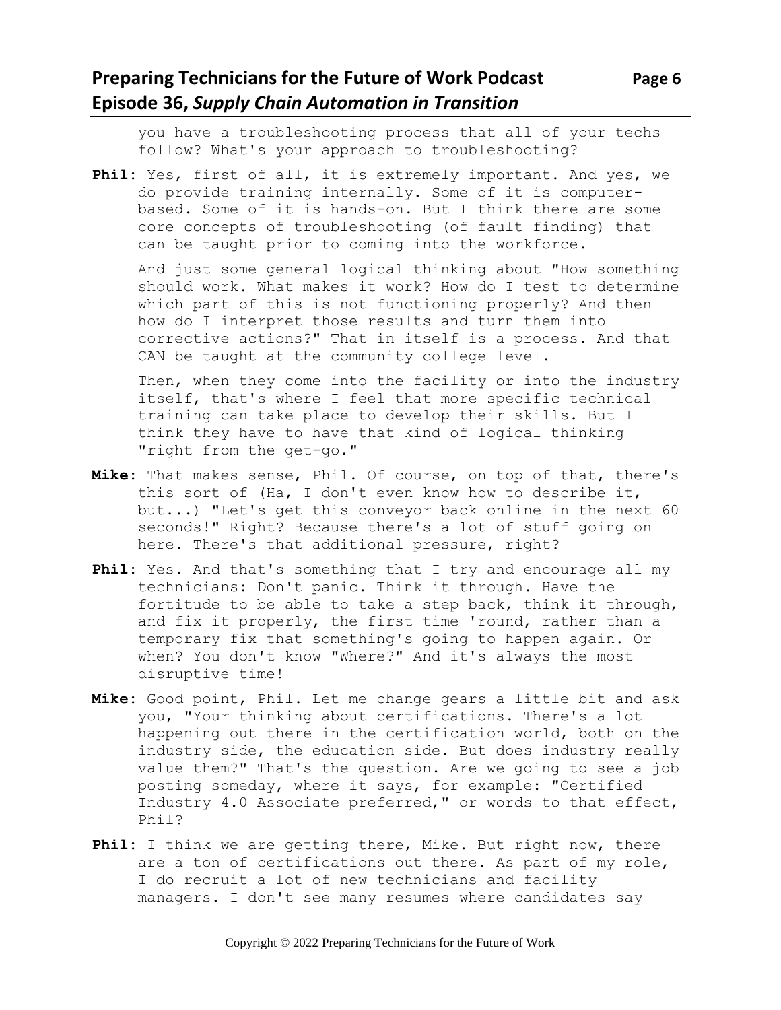# **Preparing Technicians for the Future of Work Podcast Page 6 Episode 36,** *Supply Chain Automation in Transition*

you have a troubleshooting process that all of your techs follow? What's your approach to troubleshooting?

**Phil:** Yes, first of all, it is extremely important. And yes, we do provide training internally. Some of it is computerbased. Some of it is hands-on. But I think there are some core concepts of troubleshooting (of fault finding) that can be taught prior to coming into the workforce.

And just some general logical thinking about "How something should work. What makes it work? How do I test to determine which part of this is not functioning properly? And then how do I interpret those results and turn them into corrective actions?" That in itself is a process. And that CAN be taught at the community college level.

Then, when they come into the facility or into the industry itself, that's where I feel that more specific technical training can take place to develop their skills. But I think they have to have that kind of logical thinking "right from the get-go."

- **Mike:** That makes sense, Phil. Of course, on top of that, there's this sort of (Ha, I don't even know how to describe it, but...) "Let's get this conveyor back online in the next 60 seconds!" Right? Because there's a lot of stuff going on here. There's that additional pressure, right?
- **Phil:** Yes. And that's something that I try and encourage all my technicians: Don't panic. Think it through. Have the fortitude to be able to take a step back, think it through, and fix it properly, the first time 'round, rather than a temporary fix that something's going to happen again. Or when? You don't know "Where?" And it's always the most disruptive time!
- **Mike:** Good point, Phil. Let me change gears a little bit and ask you, "Your thinking about certifications. There's a lot happening out there in the certification world, both on the industry side, the education side. But does industry really value them?" That's the question. Are we going to see a job posting someday, where it says, for example: "Certified Industry 4.0 Associate preferred," or words to that effect, Phil?
- **Phil:** I think we are getting there, Mike. But right now, there are a ton of certifications out there. As part of my role, I do recruit a lot of new technicians and facility managers. I don't see many resumes where candidates say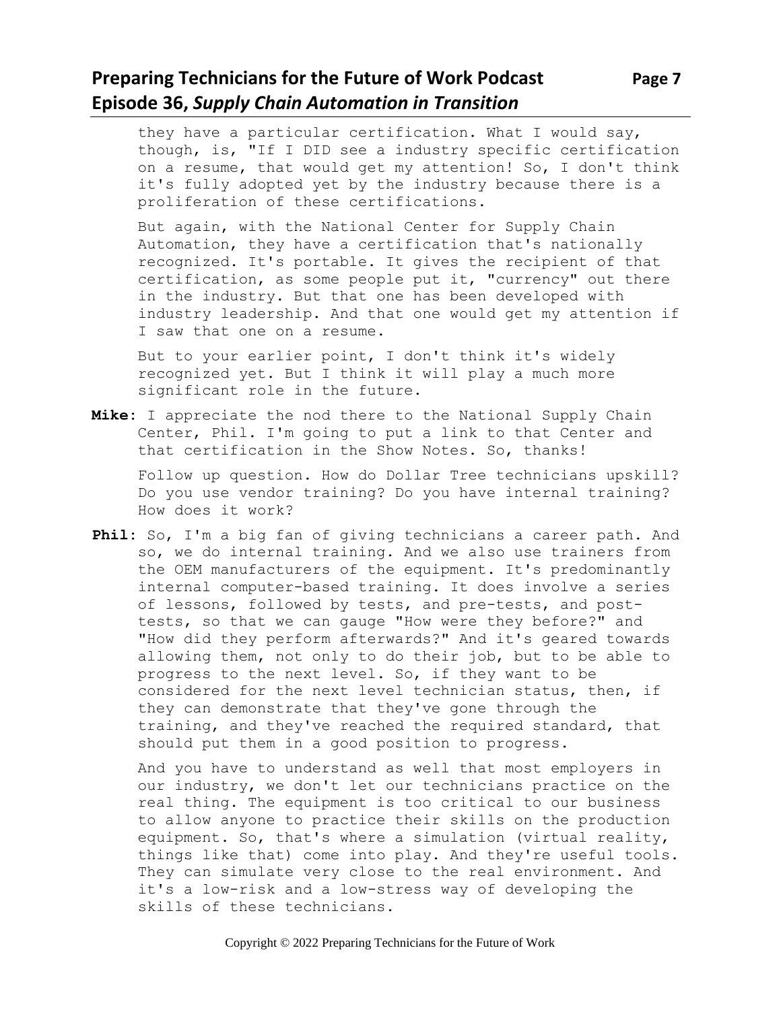## **Preparing Technicians for the Future of Work Podcast Page 7 Episode 36,** *Supply Chain Automation in Transition*

they have a particular certification. What I would say, though, is, "If I DID see a industry specific certification on a resume, that would get my attention! So, I don't think it's fully adopted yet by the industry because there is a proliferation of these certifications.

But again, with the National Center for Supply Chain Automation, they have a certification that's nationally recognized. It's portable. It gives the recipient of that certification, as some people put it, "currency" out there in the industry. But that one has been developed with industry leadership. And that one would get my attention if I saw that one on a resume.

But to your earlier point, I don't think it's widely recognized yet. But I think it will play a much more significant role in the future.

**Mike:** I appreciate the nod there to the National Supply Chain Center, Phil. I'm going to put a link to that Center and that certification in the Show Notes. So, thanks!

Follow up question. How do Dollar Tree technicians upskill? Do you use vendor training? Do you have internal training? How does it work?

**Phil:** So, I'm a big fan of giving technicians a career path. And so, we do internal training. And we also use trainers from the OEM manufacturers of the equipment. It's predominantly internal computer-based training. It does involve a series of lessons, followed by tests, and pre-tests, and posttests, so that we can gauge "How were they before?" and "How did they perform afterwards?" And it's geared towards allowing them, not only to do their job, but to be able to progress to the next level. So, if they want to be considered for the next level technician status, then, if they can demonstrate that they've gone through the training, and they've reached the required standard, that should put them in a good position to progress.

And you have to understand as well that most employers in our industry, we don't let our technicians practice on the real thing. The equipment is too critical to our business to allow anyone to practice their skills on the production equipment. So, that's where a simulation (virtual reality, things like that) come into play. And they're useful tools. They can simulate very close to the real environment. And it's a low-risk and a low-stress way of developing the skills of these technicians.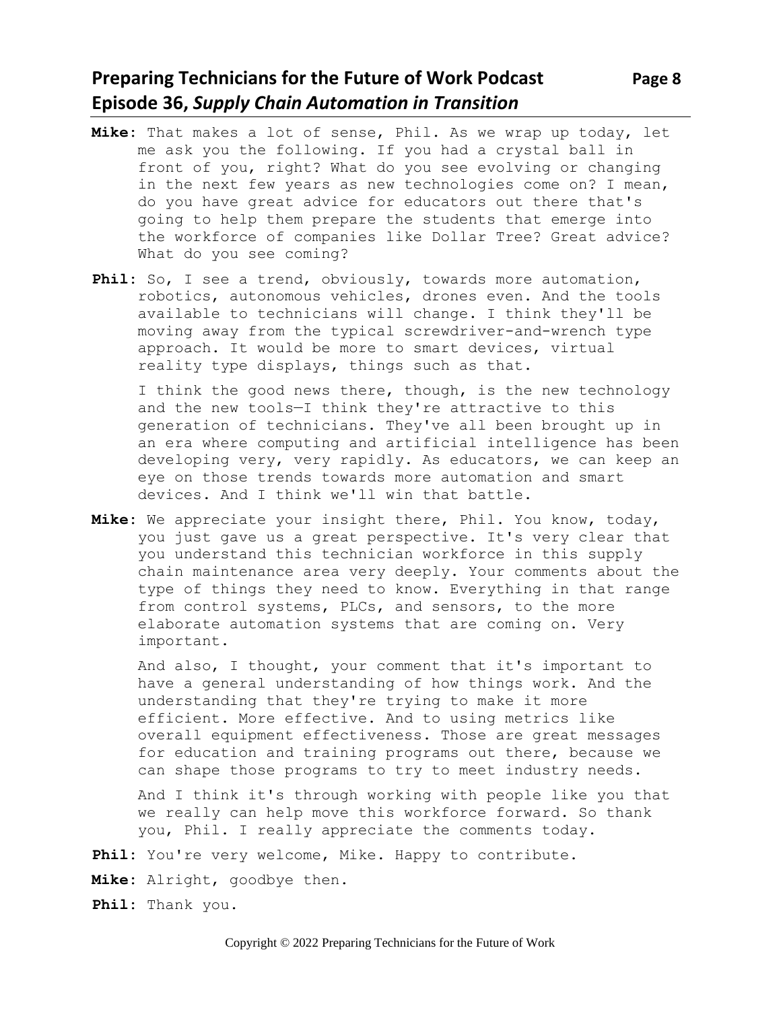# **Preparing Technicians for the Future of Work Podcast** Page 8 **Episode 36,** *Supply Chain Automation in Transition*

- **Mike:** That makes a lot of sense, Phil. As we wrap up today, let me ask you the following. If you had a crystal ball in front of you, right? What do you see evolving or changing in the next few years as new technologies come on? I mean, do you have great advice for educators out there that's going to help them prepare the students that emerge into the workforce of companies like Dollar Tree? Great advice? What do you see coming?
- **Phil:** So, I see a trend, obviously, towards more automation, robotics, autonomous vehicles, drones even. And the tools available to technicians will change. I think they'll be moving away from the typical screwdriver-and-wrench type approach. It would be more to smart devices, virtual reality type displays, things such as that.

I think the good news there, though, is the new technology and the new tools—I think they're attractive to this generation of technicians. They've all been brought up in an era where computing and artificial intelligence has been developing very, very rapidly. As educators, we can keep an eye on those trends towards more automation and smart devices. And I think we'll win that battle.

**Mike:** We appreciate your insight there, Phil. You know, today, you just gave us a great perspective. It's very clear that you understand this technician workforce in this supply chain maintenance area very deeply. Your comments about the type of things they need to know. Everything in that range from control systems, PLCs, and sensors, to the more elaborate automation systems that are coming on. Very important.

And also, I thought, your comment that it's important to have a general understanding of how things work. And the understanding that they're trying to make it more efficient. More effective. And to using metrics like overall equipment effectiveness. Those are great messages for education and training programs out there, because we can shape those programs to try to meet industry needs.

And I think it's through working with people like you that we really can help move this workforce forward. So thank you, Phil. I really appreciate the comments today.

- Phil: You're very welcome, Mike. Happy to contribute.
- **Mike:** Alright, goodbye then.
- **Phil:** Thank you.